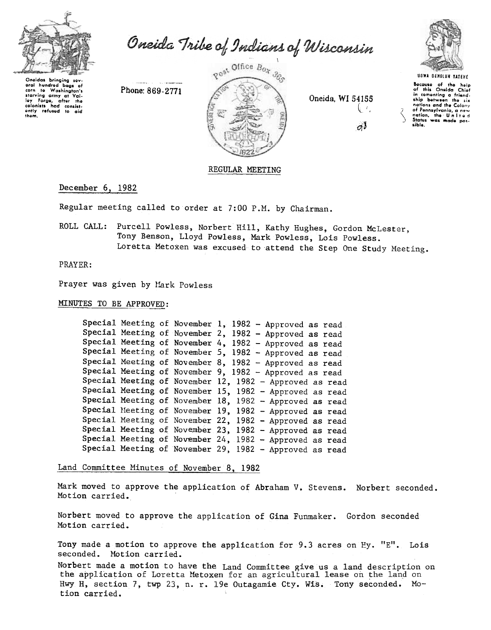

Oneida Tribe of Indians of Wisconsin

Oneidas bringing sev oral hundred bags of ural hundred bags of<br>corn to Washington's<br>starving army at Val-<br>ley Forge, after the<br>colonists had consist-<br>only refused to aid<br>thom.

Phone: 869-2771



Oneida, WI 54155 Ų₹.  $\sigma^{\prime}$ 



Bocause of the help<br>of this Oneida Chief<br>in comenting a friend-<br>ship between the six ship between the six<br>nations and the Colony<br>of Pennsylvania, a new<br>nation, the United<br>States was made possible.

## REGULAR MEETING

## December 6, 1982

Regular meeting called to order at 7:00 P.M. by Chairman.

ROLL CALL: Purcell Powless, Norbert Hill, Kathy Hughes, Gordon McLester, Tony Benson, Lloyd Powless, Mark Powless, Lois Powless. Loretta Metoxen was excused to attend the Step One Study Meeting.

PRAYER:

Prayer was given by Mark Powless

MINUTES TO BE APPROVED:

|  | Special Meeting of November 1, 1982 - Approved as read  |  |  |  |
|--|---------------------------------------------------------|--|--|--|
|  | Special Meeting of November 2, 1982 - Approved as read  |  |  |  |
|  | Special Meeting of November 4, 1982 - Approved as read  |  |  |  |
|  | Special Meeting of November 5, 1982 - Approved as read  |  |  |  |
|  | Special Meeting of November 8, 1982 - Approved as read  |  |  |  |
|  | Special Meeting of November 9, 1982 - Approved as read  |  |  |  |
|  | Special Meeting of November 12, 1982 - Approved as read |  |  |  |
|  | Special Meeting of November 15, 1982 - Approved as read |  |  |  |
|  | Special Meeting of November 18, 1982 - Approved as read |  |  |  |
|  | Special Meeting of November 19, 1982 - Approved as read |  |  |  |
|  | Special Meeting of November 22, 1982 - Approved as read |  |  |  |
|  | Special Meeting of November 23, 1982 - Approved as read |  |  |  |
|  | Special Meeting of November 24, 1982 - Approved as read |  |  |  |
|  | Special Meeting of November 29, 1982 - Approved as read |  |  |  |

Land Committee Minutes of November 8, 1982

Mark moved to approve the application of Abraham V. Stevens. Norbert seconded. Motion carried.

Norbert moved to approve the application of Gina Funmaker. Gordon seconded Motion carried.

Tony made a motion to approve the application for 9.3 acres on Hy. "E". Lois seconded. Motion carried.

Norbert made a motion to have the Land Committee give us a land description on the application of Loretta Metoxen for an agricultural lease on the land on Hwy H, section 7, twp 23, n. r. 19e Outagamie Cty. Wis. Tony seconded. Motion carried.